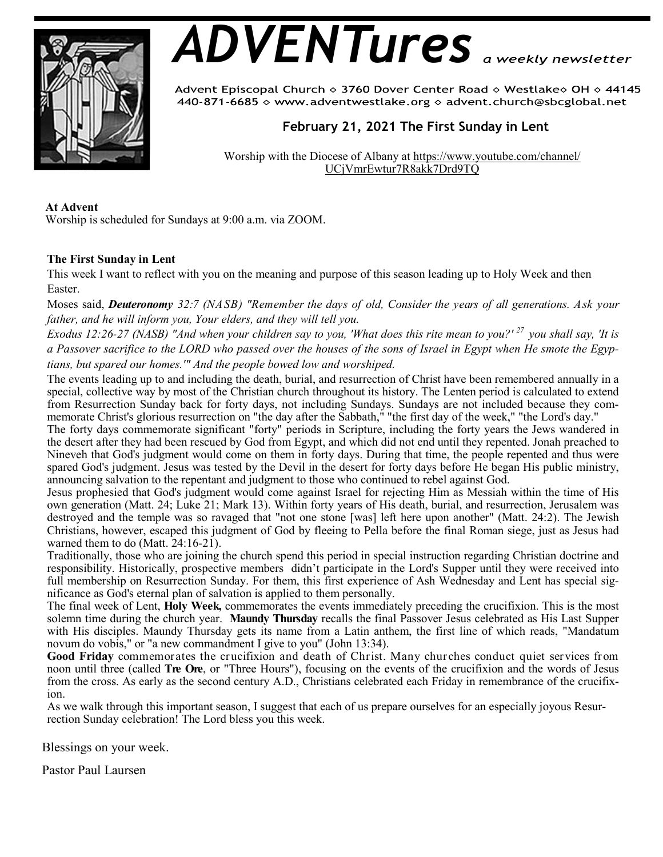

# *ADVENTures*

Advent Episcopal Church ◇ 3760 Dover Center Road ◇ Westlake◇ OH ◇ 44145 440-871-6685  $\diamond$  www.adventwestlake.org  $\diamond$  advent.church@sbcglobal.net

# **February 21, 2021 The First Sunday in Lent**

Worship with the Diocese of Albany at https://www.youtube.com/channel/ UCjVmrEwtur7R8akk7Drd9TQ

# **At Advent**

Worship is scheduled for Sundays at 9:00 a.m. via ZOOM.

# **The First Sunday in Lent**

This week I want to reflect with you on the meaning and purpose of this season leading up to Holy Week and then Easter.

Moses said, *Deuteronomy 32:7 (NASB) "Remember the days of old, Consider the years of all generations. Ask your father, and he will inform you, Your elders, and they will tell you.*

*Exodus 12:26-27 (NASB) "And when your children say to you, 'What does this rite mean to you?' <sup>27</sup>you shall say, 'It is a Passover sacrifice to the LORD who passed over the houses of the sons of Israel in Egypt when He smote the Egyptians, but spared our homes.'" And the people bowed low and worshiped.*

The events leading up to and including the death, burial, and resurrection of Christ have been remembered annually in a special, collective way by most of the Christian church throughout its history. The Lenten period is calculated to extend from Resurrection Sunday back for forty days, not including Sundays. Sundays are not included because they commemorate Christ's glorious resurrection on "the day after the Sabbath," "the first day of the week," "the Lord's day."

The forty days commemorate significant "forty" periods in Scripture, including the forty years the Jews wandered in the desert after they had been rescued by God from Egypt, and which did not end until they repented. Jonah preached to Nineveh that God's judgment would come on them in forty days. During that time, the people repented and thus were spared God's judgment. Jesus was tested by the Devil in the desert for forty days before He began His public ministry, announcing salvation to the repentant and judgment to those who continued to rebel against God.

Jesus prophesied that God's judgment would come against Israel for rejecting Him as Messiah within the time of His own generation (Matt. 24; Luke 21; Mark 13). Within forty years of His death, burial, and resurrection, Jerusalem was destroyed and the temple was so ravaged that "not one stone [was] left here upon another" (Matt. 24:2). The Jewish Christians, however, escaped this judgment of God by fleeing to Pella before the final Roman siege, just as Jesus had warned them to do (Matt. 24:16-21).

Traditionally, those who are joining the church spend this period in special instruction regarding Christian doctrine and responsibility. Historically, prospective members didn't participate in the Lord's Supper until they were received into full membership on Resurrection Sunday. For them, this first experience of Ash Wednesday and Lent has special significance as God's eternal plan of salvation is applied to them personally.

The final week of Lent, **Holy Week,** commemorates the events immediately preceding the crucifixion. This is the most solemn time during the church year. **Maundy Thursday** recalls the final Passover Jesus celebrated as His Last Supper with His disciples. Maundy Thursday gets its name from a Latin anthem, the first line of which reads, "Mandatum novum do vobis," or "a new commandment I give to you" (John 13:34).

**Good Friday** commemorates the crucifixion and death of Christ. Many churches conduct quiet services from noon until three (called **Tre Ore**, or "Three Hours"), focusing on the events of the crucifixion and the words of Jesus from the cross. As early as the second century A.D., Christians celebrated each Friday in remembrance of the crucifixion.

As we walk through this important season, I suggest that each of us prepare ourselves for an especially joyous Resurrection Sunday celebration! The Lord bless you this week.

Blessings on your week.

Pastor Paul Laursen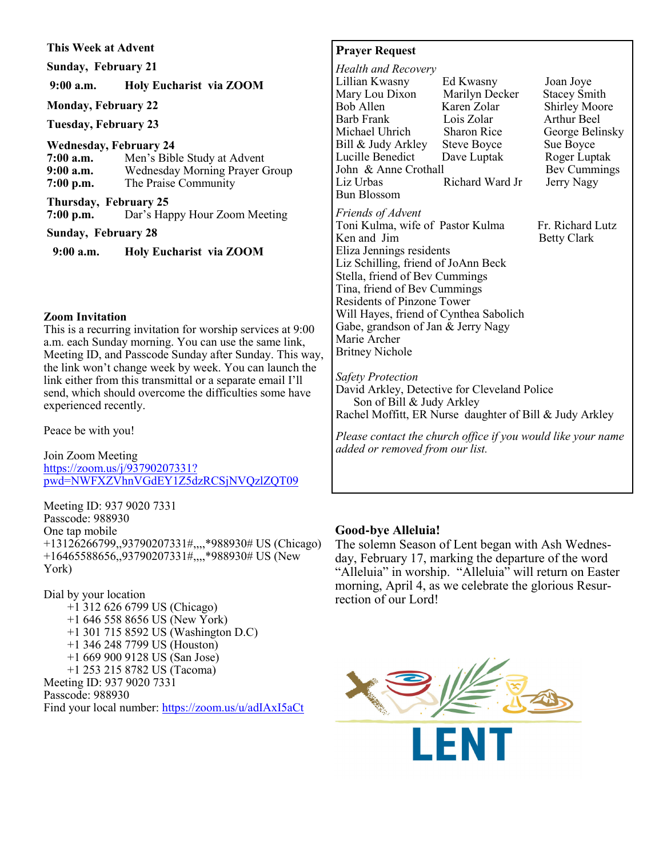#### **This Week at Advent**

**Sunday, February 21**

 **9:00 a.m. Holy Eucharist via ZOOM** 

**Monday, February 22**

**Tuesday, February 23**

#### **Wednesday, February 24**

| 7:00 a.m.   | Men's Bible Study at Advent    |
|-------------|--------------------------------|
| 9:00 a.m.   | Wednesday Morning Prayer Group |
| $7:00$ p.m. | The Praise Community           |

**Thursday, February 25 7:00 p.m.** Dar's Happy Hour Zoom Meeting

#### **Sunday, February 28**

 **9:00 a.m. Holy Eucharist via ZOOM** 

#### **Zoom Invitation**

This is a recurring invitation for worship services at 9:00 a.m. each Sunday morning. You can use the same link, Meeting ID, and Passcode Sunday after Sunday. This way, the link won't change week by week. You can launch the link either from this transmittal or a separate email I'll send, which should overcome the difficulties some have experienced recently.

Peace be with you!

Join Zoom Meeting https://zoom.us/j/93790207331? pwd=NWFXZVhnVGdEY1Z5dzRCSjNVQzlZQT09

Meeting ID: 937 9020 7331 Passcode: 988930 One tap mobile +13126266799,,93790207331#,,,,\*988930# US (Chicago) +16465588656,,93790207331#,,,,\*988930# US (New York)

Dial by your location +1 312 626 6799 US (Chicago) +1 646 558 8656 US (New York) +1 301 715 8592 US (Washington D.C) +1 346 248 7799 US (Houston) +1 669 900 9128 US (San Jose) +1 253 215 8782 US (Tacoma) Meeting ID: 937 9020 7331 Passcode: 988930 Find your local number: https://zoom.us/u/adIAxI5aCt

# **Prayer Request**

*Health and Recovery* Lillian Kwasny Ed Kwasny Joan Joye Mary Lou Dixon Marilyn Dec<br>Bob Allen Karen Zolar Bob Allen Karen Zolar Shirley Moore<br>Barb Frank Lois Zolar Arthur Beel Barb Frank Lois Zolar Arthur Beel Sharon Rice George Belinsky<br>Steve Boyce Sue Boyce Bill & Judy Arkley Steve Boyce Sue Boyce<br>
Lucille Benedict Dave Luptak Roger Luptak Lucille Benedict John & Anne Crothall Bev Cummings<br>Liz Urbas Richard Ward Jr Jerry Nagy Richard Ward Jr Bun Blossom *Friends of Advent* Toni Kulma, wife of Pastor Kulma Fr. Richard Lutz<br>Ken and Jim Betty Clark Betty Clark Eliza Jennings residents Liz Schilling, friend of JoAnn Beck Stella, friend of Bev Cummings Tina, friend of Bev Cummings Residents of Pinzone Tower Will Hayes, friend of Cynthea Sabolich Gabe, grandson of Jan & Jerry Nagy Marie Archer Britney Nichole

*Safety Protection* David Arkley, Detective for Cleveland Police Son of Bill & Judy Arkley Rachel Moffitt, ER Nurse daughter of Bill & Judy Arkley

*Please contact the church office if you would like your name added or removed from our list.*

### **Good-bye Alleluia!**

The solemn Season of Lent began with Ash Wednesday, February 17, marking the departure of the word "Alleluia" in worship. "Alleluia" will return on Easter morning, April 4, as we celebrate the glorious Resurrection of our Lord!